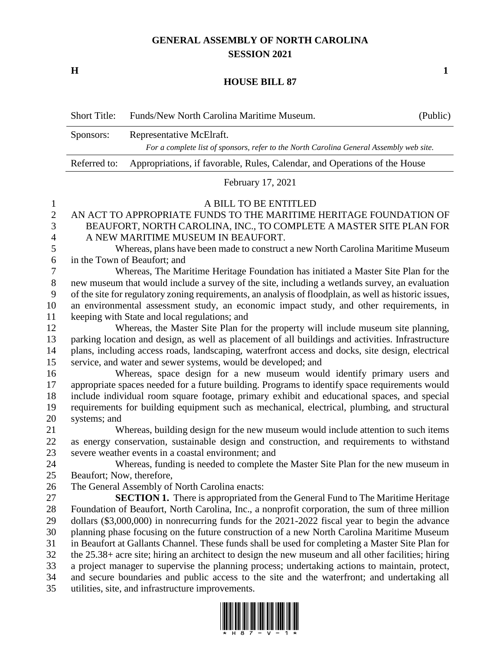## **GENERAL ASSEMBLY OF NORTH CAROLINA SESSION 2021**

**H 1**

## **HOUSE BILL 87**

| <b>Short Title:</b> | Funds/New North Carolina Maritime Museum.                                               | (Public) |
|---------------------|-----------------------------------------------------------------------------------------|----------|
| Sponsors:           | Representative McElraft.                                                                |          |
|                     | For a complete list of sponsors, refer to the North Carolina General Assembly web site. |          |
| Referred to:        | Appropriations, if favorable, Rules, Calendar, and Operations of the House              |          |
|                     |                                                                                         |          |

February 17, 2021

## A BILL TO BE ENTITLED

## AN ACT TO APPROPRIATE FUNDS TO THE MARITIME HERITAGE FOUNDATION OF BEAUFORT, NORTH CAROLINA, INC., TO COMPLETE A MASTER SITE PLAN FOR A NEW MARITIME MUSEUM IN BEAUFORT.

 Whereas, plans have been made to construct a new North Carolina Maritime Museum in the Town of Beaufort; and

 Whereas, The Maritime Heritage Foundation has initiated a Master Site Plan for the new museum that would include a survey of the site, including a wetlands survey, an evaluation of the site for regulatory zoning requirements, an analysis of floodplain, as well as historic issues, an environmental assessment study, an economic impact study, and other requirements, in keeping with State and local regulations; and

 Whereas, the Master Site Plan for the property will include museum site planning, parking location and design, as well as placement of all buildings and activities. Infrastructure plans, including access roads, landscaping, waterfront access and docks, site design, electrical service, and water and sewer systems, would be developed; and

 Whereas, space design for a new museum would identify primary users and appropriate spaces needed for a future building. Programs to identify space requirements would include individual room square footage, primary exhibit and educational spaces, and special requirements for building equipment such as mechanical, electrical, plumbing, and structural systems; and

 Whereas, building design for the new museum would include attention to such items as energy conservation, sustainable design and construction, and requirements to withstand severe weather events in a coastal environment; and

 Whereas, funding is needed to complete the Master Site Plan for the new museum in Beaufort; Now, therefore,

The General Assembly of North Carolina enacts:

 **SECTION 1.** There is appropriated from the General Fund to The Maritime Heritage Foundation of Beaufort, North Carolina, Inc., a nonprofit corporation, the sum of three million dollars (\$3,000,000) in nonrecurring funds for the 2021-2022 fiscal year to begin the advance planning phase focusing on the future construction of a new North Carolina Maritime Museum in Beaufort at Gallants Channel. These funds shall be used for completing a Master Site Plan for the 25.38+ acre site; hiring an architect to design the new museum and all other facilities; hiring a project manager to supervise the planning process; undertaking actions to maintain, protect, and secure boundaries and public access to the site and the waterfront; and undertaking all utilities, site, and infrastructure improvements.